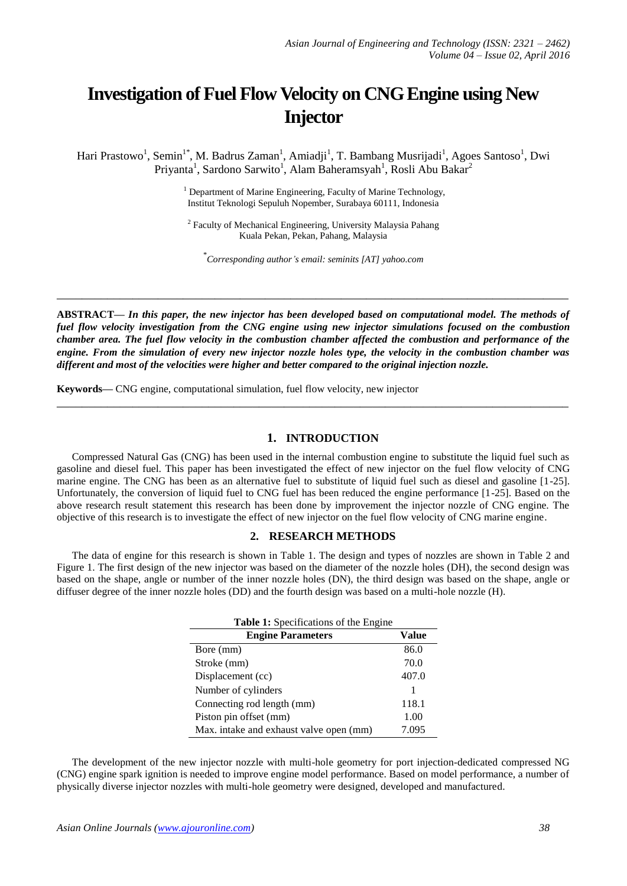# **Investigation of Fuel Flow Velocity on CNG Engine using New Injector**

Hari Prastowo<sup>1</sup>, Semin<sup>1\*</sup>, M. Badrus Zaman<sup>1</sup>, Amiadji<sup>1</sup>, T. Bambang Musrijadi<sup>1</sup>, Agoes Santoso<sup>1</sup>, Dwi Priyanta<sup>1</sup>, Sardono Sarwito<sup>1</sup>, Alam Baheramsyah<sup>1</sup>, Rosli Abu Bakar<sup>2</sup>

> <sup>1</sup> Department of Marine Engineering, Faculty of Marine Technology, Institut Teknologi Sepuluh Nopember, Surabaya 60111, Indonesia

<sup>2</sup> Faculty of Mechanical Engineering, University Malaysia Pahang Kuala Pekan, Pekan, Pahang, Malaysia

\* *Corresponding author's email: seminits [AT] yahoo.com*

**\_\_\_\_\_\_\_\_\_\_\_\_\_\_\_\_\_\_\_\_\_\_\_\_\_\_\_\_\_\_\_\_\_\_\_\_\_\_\_\_\_\_\_\_\_\_\_\_\_\_\_\_\_\_\_\_\_\_\_\_\_\_\_\_\_\_\_\_\_\_\_\_\_\_\_\_\_\_\_\_\_**

**ABSTRACT—** *In this paper, the new injector has been developed based on computational model. The methods of fuel flow velocity investigation from the CNG engine using new injector simulations focused on the combustion chamber area. The fuel flow velocity in the combustion chamber affected the combustion and performance of the engine. From the simulation of every new injector nozzle holes type, the velocity in the combustion chamber was different and most of the velocities were higher and better compared to the original injection nozzle.*

**\_\_\_\_\_\_\_\_\_\_\_\_\_\_\_\_\_\_\_\_\_\_\_\_\_\_\_\_\_\_\_\_\_\_\_\_\_\_\_\_\_\_\_\_\_\_\_\_\_\_\_\_\_\_\_\_\_\_\_\_\_\_\_\_\_\_\_\_\_\_\_\_\_\_\_\_\_\_\_\_\_**

**Keywords—** CNG engine, computational simulation, fuel flow velocity, new injector

### **1. INTRODUCTION**

Compressed Natural Gas (CNG) has been used in the internal combustion engine to substitute the liquid fuel such as gasoline and diesel fuel. This paper has been investigated the effect of new injector on the fuel flow velocity of CNG marine engine. The CNG has been as an alternative fuel to substitute of liquid fuel such as diesel and gasoline [1-25]. Unfortunately, the conversion of liquid fuel to CNG fuel has been reduced the engine performance [1-25]. Based on the above research result statement this research has been done by improvement the injector nozzle of CNG engine. The objective of this research is to investigate the effect of new injector on the fuel flow velocity of CNG marine engine.

### **2. RESEARCH METHODS**

The data of engine for this research is shown in Table 1. The design and types of nozzles are shown in Table 2 and Figure 1. The first design of the new injector was based on the diameter of the nozzle holes (DH), the second design was based on the shape, angle or number of the inner nozzle holes (DN), the third design was based on the shape, angle or diffuser degree of the inner nozzle holes (DD) and the fourth design was based on a multi-hole nozzle (H).

| <b>Table 1:</b> Specifications of the Engine |       |
|----------------------------------------------|-------|
| <b>Engine Parameters</b>                     | Value |
| Bore (mm)                                    | 86.0  |
| Stroke (mm)                                  | 70.0  |
| Displacement (cc)                            | 407.0 |
| Number of cylinders                          |       |
| Connecting rod length (mm)                   | 118.1 |
| Piston pin offset (mm)                       | 1.00  |
| Max. intake and exhaust valve open (mm)      | 7.095 |

The development of the new injector nozzle with multi-hole geometry for port injection-dedicated compressed NG (CNG) engine spark ignition is needed to improve engine model performance. Based on model performance, a number of physically diverse injector nozzles with multi-hole geometry were designed, developed and manufactured.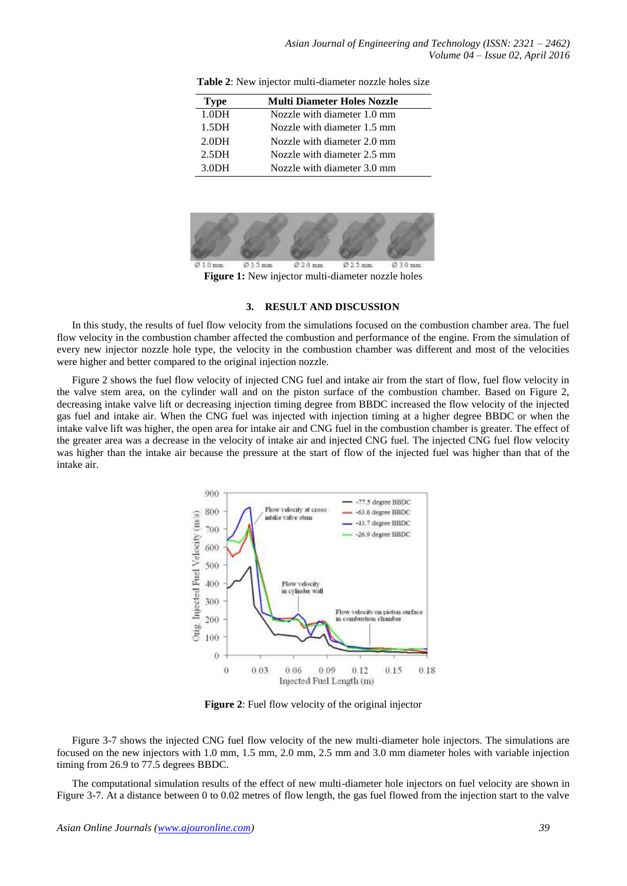| <b>Type</b>       | <b>Multi Diameter Holes Nozzle</b> |
|-------------------|------------------------------------|
| 1.0 <sub>DH</sub> | Nozzle with diameter 1.0 mm        |
| 1.5 <sub>DH</sub> | Nozzle with diameter 1.5 mm        |
| 2.0 <sub>DH</sub> | Nozzle with diameter 2.0 mm        |
| 2.5 <sub>DH</sub> | Nozzle with diameter 2.5 mm        |
| 3.0DH             | Nozzle with diameter 3.0 mm        |

**Table 2**: New injector multi-diameter nozzle holes size



**Figure 1:** New injector multi-diameter nozzle holes

#### **3. RESULT AND DISCUSSION**

In this study, the results of fuel flow velocity from the simulations focused on the combustion chamber area. The fuel flow velocity in the combustion chamber affected the combustion and performance of the engine. From the simulation of every new injector nozzle hole type, the velocity in the combustion chamber was different and most of the velocities were higher and better compared to the original injection nozzle.

Figure 2 shows the fuel flow velocity of injected CNG fuel and intake air from the start of flow, fuel flow velocity in the valve stem area, on the cylinder wall and on the piston surface of the combustion chamber. Based on Figure 2, decreasing intake valve lift or decreasing injection timing degree from BBDC increased the flow velocity of the injected gas fuel and intake air. When the CNG fuel was injected with injection timing at a higher degree BBDC or when the intake valve lift was higher, the open area for intake air and CNG fuel in the combustion chamber is greater. The effect of the greater area was a decrease in the velocity of intake air and injected CNG fuel. The injected CNG fuel flow velocity was higher than the intake air because the pressure at the start of flow of the injected fuel was higher than that of the intake air.



**Figure 2**: Fuel flow velocity of the original injector

Figure 3-7 shows the injected CNG fuel flow velocity of the new multi-diameter hole injectors. The simulations are focused on the new injectors with 1.0 mm, 1.5 mm, 2.0 mm, 2.5 mm and 3.0 mm diameter holes with variable injection timing from 26.9 to 77.5 degrees BBDC.

The computational simulation results of the effect of new multi-diameter hole injectors on fuel velocity are shown in Figure 3-7. At a distance between 0 to 0.02 metres of flow length, the gas fuel flowed from the injection start to the valve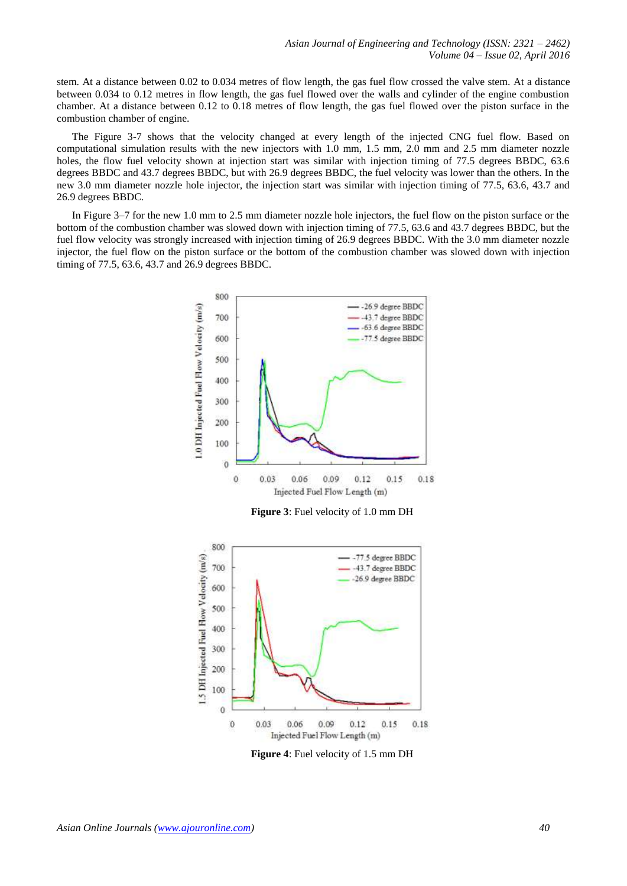stem. At a distance between 0.02 to 0.034 metres of flow length, the gas fuel flow crossed the valve stem. At a distance between 0.034 to 0.12 metres in flow length, the gas fuel flowed over the walls and cylinder of the engine combustion chamber. At a distance between 0.12 to 0.18 metres of flow length, the gas fuel flowed over the piston surface in the combustion chamber of engine.

The Figure 3-7 shows that the velocity changed at every length of the injected CNG fuel flow. Based on computational simulation results with the new injectors with 1.0 mm, 1.5 mm, 2.0 mm and 2.5 mm diameter nozzle holes, the flow fuel velocity shown at injection start was similar with injection timing of 77.5 degrees BBDC, 63.6 degrees BBDC and 43.7 degrees BBDC, but with 26.9 degrees BBDC, the fuel velocity was lower than the others. In the new 3.0 mm diameter nozzle hole injector, the injection start was similar with injection timing of 77.5, 63.6, 43.7 and 26.9 degrees BBDC.

In Figure 3–7 for the new 1.0 mm to 2.5 mm diameter nozzle hole injectors, the fuel flow on the piston surface or the bottom of the combustion chamber was slowed down with injection timing of 77.5, 63.6 and 43.7 degrees BBDC, but the fuel flow velocity was strongly increased with injection timing of 26.9 degrees BBDC. With the 3.0 mm diameter nozzle injector, the fuel flow on the piston surface or the bottom of the combustion chamber was slowed down with injection timing of 77.5, 63.6, 43.7 and 26.9 degrees BBDC.



**Figure 3**: Fuel velocity of 1.0 mm DH



**Figure 4**: Fuel velocity of 1.5 mm DH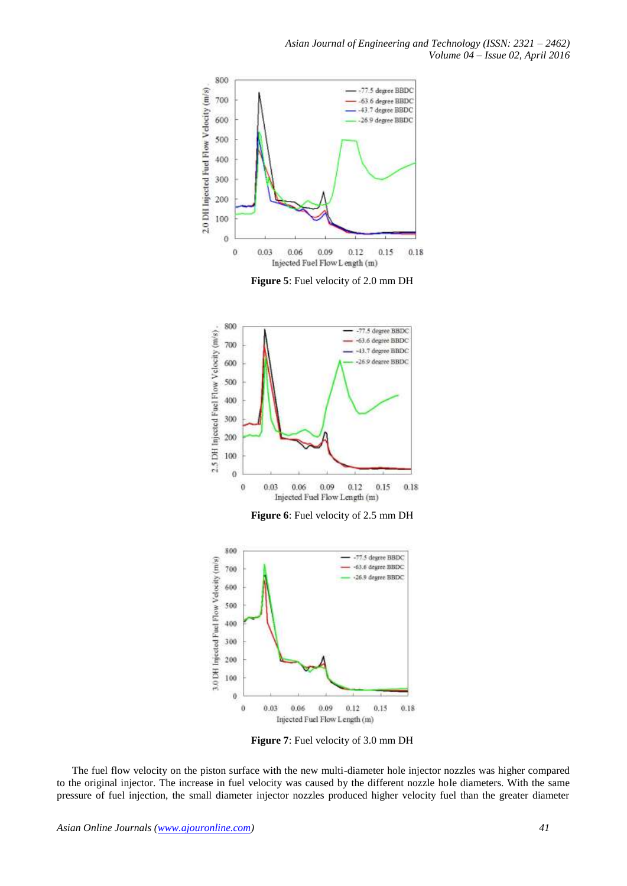

**Figure 5**: Fuel velocity of 2.0 mm DH



**Figure 6**: Fuel velocity of 2.5 mm DH



**Figure 7**: Fuel velocity of 3.0 mm DH

The fuel flow velocity on the piston surface with the new multi-diameter hole injector nozzles was higher compared to the original injector. The increase in fuel velocity was caused by the different nozzle hole diameters. With the same pressure of fuel injection, the small diameter injector nozzles produced higher velocity fuel than the greater diameter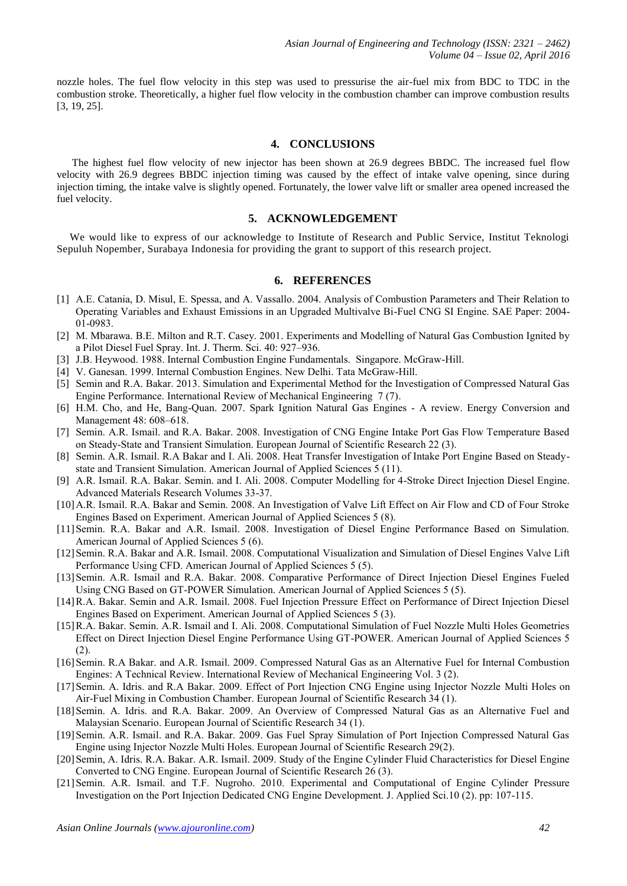nozzle holes. The fuel flow velocity in this step was used to pressurise the air-fuel mix from BDC to TDC in the combustion stroke. Theoretically, a higher fuel flow velocity in the combustion chamber can improve combustion results [3, 19, 25].

## **4. CONCLUSIONS**

The highest fuel flow velocity of new injector has been shown at 26.9 degrees BBDC. The increased fuel flow velocity with 26.9 degrees BBDC injection timing was caused by the effect of intake valve opening, since during injection timing, the intake valve is slightly opened. Fortunately, the lower valve lift or smaller area opened increased the fuel velocity.

## **5. ACKNOWLEDGEMENT**

We would like to express of our acknowledge to Institute of Research and Public Service, Institut Teknologi Sepuluh Nopember, Surabaya Indonesia for providing the grant to support of this research project.

#### **6. REFERENCES**

- [1] A.E. Catania, D. Misul, E. Spessa, and A. Vassallo. 2004. Analysis of Combustion Parameters and Their Relation to Operating Variables and Exhaust Emissions in an Upgraded Multivalve Bi-Fuel CNG SI Engine. SAE Paper: 2004- 01-0983.
- [2] M. Mbarawa. B.E. Milton and R.T. Casey. 2001. Experiments and Modelling of Natural Gas Combustion Ignited by a Pilot Diesel Fuel Spray. Int. J. Therm. Sci. 40: 927–936.
- [3] J.B. Heywood. 1988. Internal Combustion Engine Fundamentals. Singapore. McGraw-Hill.
- [4] V. Ganesan. 1999. Internal Combustion Engines. New Delhi. Tata McGraw-Hill.
- [5] Semin and R.A. Bakar. 2013. Simulation and Experimental Method for the Investigation of Compressed Natural Gas Engine Performance. International Review of Mechanical Engineering 7 (7).
- [6] H.M. Cho, and He, Bang-Quan. 2007. Spark Ignition Natural Gas Engines A review. Energy Conversion and Management 48: 608–618.
- [7] Semin. A.R. Ismail. and R.A. Bakar. 2008. Investigation of CNG Engine Intake Port Gas Flow Temperature Based on Steady-State and Transient Simulation. European Journal of Scientific Research 22 (3).
- [8] Semin. A.R. Ismail. R.A Bakar and I. Ali. 2008. Heat Transfer Investigation of Intake Port Engine Based on Steadystate and Transient Simulation. American Journal of Applied Sciences 5 (11).
- [9] A.R. Ismail. R.A. Bakar. Semin. and I. Ali. 2008. Computer Modelling for 4-Stroke Direct Injection Diesel Engine. Advanced Materials Research Volumes 33-37.
- [10]A.R. Ismail. R.A. Bakar and Semin. 2008. An Investigation of Valve Lift Effect on Air Flow and CD of Four Stroke Engines Based on Experiment. American Journal of Applied Sciences 5 (8).
- [11]Semin. R.A. Bakar and A.R. Ismail. 2008. Investigation of Diesel Engine Performance Based on Simulation. American Journal of Applied Sciences 5 (6).
- [12]Semin. R.A. Bakar and A.R. Ismail. 2008. Computational Visualization and Simulation of Diesel Engines Valve Lift Performance Using CFD. American Journal of Applied Sciences 5 (5).
- [13]Semin. A.R. Ismail and R.A. Bakar. 2008. Comparative Performance of Direct Injection Diesel Engines Fueled Using CNG Based on GT-POWER Simulation. American Journal of Applied Sciences 5 (5).
- [14]R.A. Bakar. Semin and A.R. Ismail. 2008. Fuel Injection Pressure Effect on Performance of Direct Injection Diesel Engines Based on Experiment. American Journal of Applied Sciences 5 (3).
- [15]R.A. Bakar. Semin. A.R. Ismail and I. Ali. 2008. Computational Simulation of Fuel Nozzle Multi Holes Geometries Effect on Direct Injection Diesel Engine Performance Using GT-POWER. American Journal of Applied Sciences 5 (2).
- [16] Semin. R.A Bakar. and A.R. Ismail. 2009. Compressed Natural Gas as an Alternative Fuel for Internal Combustion Engines: A Technical Review. International Review of Mechanical Engineering Vol. 3 (2).
- [17]Semin. A. Idris. and R.A Bakar. 2009. Effect of Port Injection CNG Engine using Injector Nozzle Multi Holes on Air-Fuel Mixing in Combustion Chamber. European Journal of Scientific Research 34 (1).
- [18]Semin. A. Idris. and R.A. Bakar. 2009. An Overview of Compressed Natural Gas as an Alternative Fuel and Malaysian Scenario. European Journal of Scientific Research 34 (1).
- [19]Semin. A.R. Ismail. and R.A. Bakar. 2009. Gas Fuel Spray Simulation of Port Injection Compressed Natural Gas Engine using Injector Nozzle Multi Holes. European Journal of Scientific Research 29(2).
- [20] Semin, A. Idris. R.A. Bakar. A.R. Ismail. 2009. Study of the Engine Cylinder Fluid Characteristics for Diesel Engine Converted to CNG Engine. European Journal of Scientific Research 26 (3).
- [21]Semin. A.R. Ismail. and T.F. Nugroho. 2010. Experimental and Computational of Engine Cylinder Pressure Investigation on the Port Injection Dedicated CNG Engine Development. J. Applied Sci.10 (2). pp: 107-115.